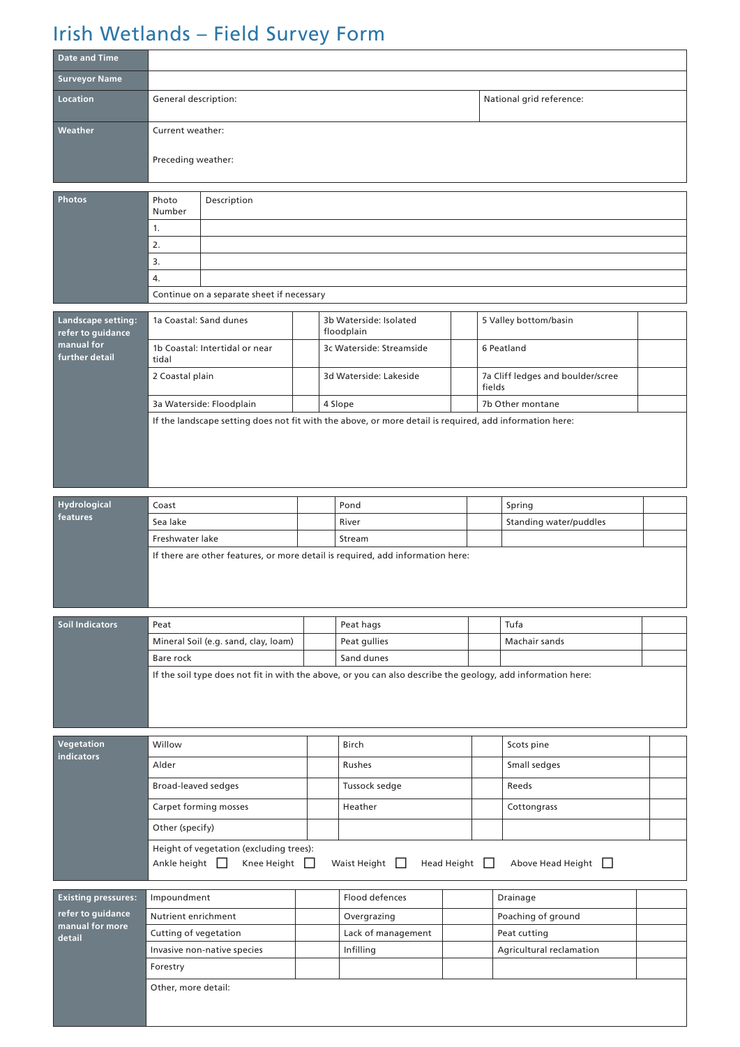## Irish Wetlands – Field Survey Form

| <b>Date and Time</b>                            |                                                                                                                          |                                                                                                             |                        |                                 |  |                                   |                                          |  |  |  |  |
|-------------------------------------------------|--------------------------------------------------------------------------------------------------------------------------|-------------------------------------------------------------------------------------------------------------|------------------------|---------------------------------|--|-----------------------------------|------------------------------------------|--|--|--|--|
| <b>Surveyor Name</b>                            |                                                                                                                          |                                                                                                             |                        |                                 |  |                                   |                                          |  |  |  |  |
| <b>Location</b>                                 | General description:                                                                                                     |                                                                                                             |                        |                                 |  |                                   | National grid reference:                 |  |  |  |  |
|                                                 |                                                                                                                          |                                                                                                             |                        |                                 |  |                                   |                                          |  |  |  |  |
| Weather                                         | Current weather:                                                                                                         |                                                                                                             |                        |                                 |  |                                   |                                          |  |  |  |  |
|                                                 | Preceding weather:                                                                                                       |                                                                                                             |                        |                                 |  |                                   |                                          |  |  |  |  |
|                                                 |                                                                                                                          |                                                                                                             |                        |                                 |  |                                   |                                          |  |  |  |  |
| <b>Photos</b>                                   | Photo                                                                                                                    | Description                                                                                                 |                        |                                 |  |                                   |                                          |  |  |  |  |
|                                                 | Number                                                                                                                   |                                                                                                             |                        |                                 |  |                                   |                                          |  |  |  |  |
|                                                 | 1.                                                                                                                       |                                                                                                             |                        |                                 |  |                                   |                                          |  |  |  |  |
|                                                 | 2.<br>3.                                                                                                                 |                                                                                                             |                        |                                 |  |                                   |                                          |  |  |  |  |
|                                                 | 4.                                                                                                                       |                                                                                                             |                        |                                 |  |                                   |                                          |  |  |  |  |
|                                                 | Continue on a separate sheet if necessary                                                                                |                                                                                                             |                        |                                 |  |                                   |                                          |  |  |  |  |
| <b>Landscape setting:</b>                       | 1a Coastal: Sand dunes                                                                                                   |                                                                                                             |                        | 3b Waterside: Isolated          |  |                                   | 5 Valley bottom/basin                    |  |  |  |  |
| refer to guidance                               |                                                                                                                          |                                                                                                             | floodplain             |                                 |  |                                   |                                          |  |  |  |  |
| manual for<br>further detail                    | 1b Coastal: Intertidal or near<br>tidal                                                                                  |                                                                                                             |                        | 3c Waterside: Streamside        |  |                                   | 6 Peatland                               |  |  |  |  |
|                                                 | 2 Coastal plain                                                                                                          |                                                                                                             | 3d Waterside: Lakeside |                                 |  | 7a Cliff ledges and boulder/scree |                                          |  |  |  |  |
|                                                 |                                                                                                                          |                                                                                                             |                        |                                 |  | fields                            |                                          |  |  |  |  |
|                                                 |                                                                                                                          | 3a Waterside: Floodplain                                                                                    |                        | 4 Slope                         |  |                                   | 7b Other montane                         |  |  |  |  |
|                                                 | If the landscape setting does not fit with the above, or more detail is required, add information here:                  |                                                                                                             |                        |                                 |  |                                   |                                          |  |  |  |  |
|                                                 |                                                                                                                          |                                                                                                             |                        |                                 |  |                                   |                                          |  |  |  |  |
|                                                 |                                                                                                                          |                                                                                                             |                        |                                 |  |                                   |                                          |  |  |  |  |
|                                                 |                                                                                                                          |                                                                                                             |                        |                                 |  |                                   |                                          |  |  |  |  |
| Hydrological<br>features                        | Coast                                                                                                                    |                                                                                                             |                        | Pond                            |  |                                   | Spring                                   |  |  |  |  |
|                                                 | Sea lake                                                                                                                 |                                                                                                             |                        | River                           |  |                                   | Standing water/puddles                   |  |  |  |  |
|                                                 |                                                                                                                          | Freshwater lake<br>Stream<br>If there are other features, or more detail is required, add information here: |                        |                                 |  |                                   |                                          |  |  |  |  |
|                                                 |                                                                                                                          |                                                                                                             |                        |                                 |  |                                   |                                          |  |  |  |  |
|                                                 |                                                                                                                          |                                                                                                             |                        |                                 |  |                                   |                                          |  |  |  |  |
|                                                 |                                                                                                                          |                                                                                                             |                        |                                 |  |                                   |                                          |  |  |  |  |
| <b>Soil Indicators</b>                          | Peat                                                                                                                     |                                                                                                             | Peat hags              |                                 |  | Tufa                              |                                          |  |  |  |  |
|                                                 |                                                                                                                          | Mineral Soil (e.g. sand, clay, loam)                                                                        | Peat gullies           |                                 |  | Machair sands                     |                                          |  |  |  |  |
|                                                 | Bare rock                                                                                                                |                                                                                                             |                        | Sand dunes                      |  |                                   |                                          |  |  |  |  |
|                                                 | If the soil type does not fit in with the above, or you can also describe the geology, add information here:             |                                                                                                             |                        |                                 |  |                                   |                                          |  |  |  |  |
|                                                 |                                                                                                                          |                                                                                                             |                        |                                 |  |                                   |                                          |  |  |  |  |
|                                                 |                                                                                                                          |                                                                                                             |                        |                                 |  |                                   |                                          |  |  |  |  |
| Vegetation                                      | Willow                                                                                                                   |                                                                                                             | Birch                  |                                 |  |                                   | Scots pine                               |  |  |  |  |
| <b>indicators</b>                               | Alder                                                                                                                    |                                                                                                             |                        | Rushes                          |  |                                   | Small sedges                             |  |  |  |  |
|                                                 | <b>Broad-leaved sedges</b>                                                                                               |                                                                                                             |                        | Tussock sedge                   |  |                                   | Reeds                                    |  |  |  |  |
|                                                 | Carpet forming mosses                                                                                                    |                                                                                                             |                        | Heather                         |  |                                   | Cottongrass                              |  |  |  |  |
|                                                 | Other (specify)                                                                                                          |                                                                                                             |                        |                                 |  |                                   |                                          |  |  |  |  |
|                                                 | Height of vegetation (excluding trees):                                                                                  |                                                                                                             |                        |                                 |  |                                   |                                          |  |  |  |  |
|                                                 | Ankle height $\Box$<br>Head Height <sup>1</sup><br>Knee Height $\Box$<br>Waist Height $\Box$<br>Above Head Height $\Box$ |                                                                                                             |                        |                                 |  |                                   |                                          |  |  |  |  |
|                                                 |                                                                                                                          |                                                                                                             |                        |                                 |  |                                   |                                          |  |  |  |  |
| <b>Existing pressures:</b><br>refer to guidance | Impoundment                                                                                                              |                                                                                                             |                        | Flood defences                  |  |                                   | Drainage                                 |  |  |  |  |
| manual for more                                 | Nutrient enrichment                                                                                                      |                                                                                                             |                        | Overgrazing                     |  |                                   | Poaching of ground                       |  |  |  |  |
| detail                                          | Cutting of vegetation<br>Invasive non-native species                                                                     |                                                                                                             |                        | Lack of management<br>Infilling |  |                                   | Peat cutting<br>Agricultural reclamation |  |  |  |  |
|                                                 | Forestry                                                                                                                 |                                                                                                             |                        |                                 |  |                                   |                                          |  |  |  |  |
|                                                 | Other, more detail:                                                                                                      |                                                                                                             |                        |                                 |  |                                   |                                          |  |  |  |  |
|                                                 |                                                                                                                          |                                                                                                             |                        |                                 |  |                                   |                                          |  |  |  |  |
|                                                 |                                                                                                                          |                                                                                                             |                        |                                 |  |                                   |                                          |  |  |  |  |